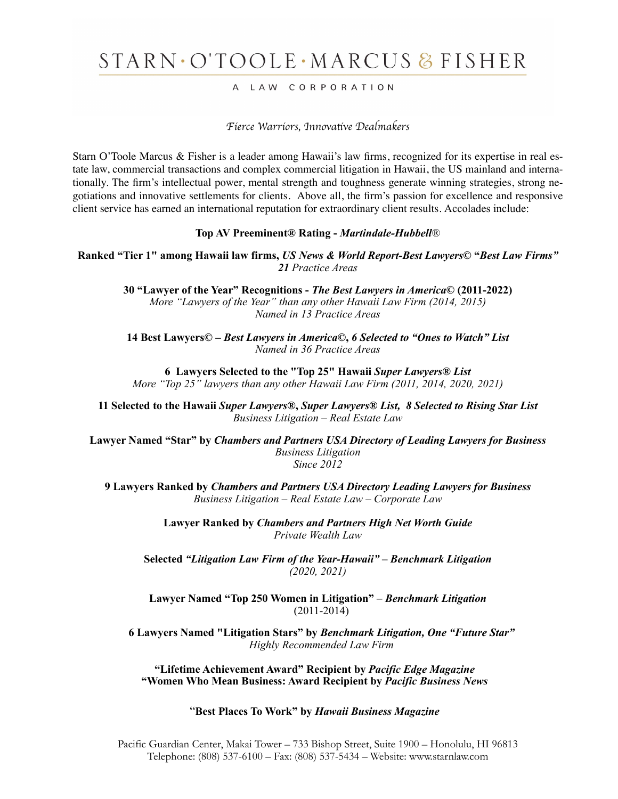#### A LAW CORPORATION

*Fierce Warriors, Innova*ti*ve Dealmakers*

Starn O'Toole Marcus & Fisher is a leader among Hawaii's law firms, recognized for its expertise in real estate law, commercial transactions and complex commercial litigation in Hawaii, the US mainland and internationally. The firm's intellectual power, mental strength and toughness generate winning strategies, strong negotiations and innovative settlements for clients. Above all, the firm's passion for excellence and responsive client service has earned an international reputation for extraordinary client results. Accolades include:

### **Top AV Preeminent® Rating -** *Martindale-Hubbell*®

**Ranked "Tier 1" among Hawaii law firms,** *US News & World Report-Best Lawyers***© "***Best Law Firms" 21 Practice Areas*

**30 "Lawyer of the Year" Recognitions -** *The Best Lawyers in America***© (2011-2022)** *More "Lawyers of the Year" than any other Hawaii Law Firm (2014, 2015) Named in 13 Practice Areas*

**14 Best Lawyers© –** *Best Lawyers in America***©,** *6 Selected to "Ones to Watch" List Named in 36 Practice Areas*

**6 Lawyers Selected to the "Top 25" Hawaii** *Super Lawyers***®** *List More "Top 25" lawyers than any other Hawaii Law Firm (2011, 2014, 2020, 2021)*

**11 Selected to the Hawaii** *Super Lawyers***®,** *Super Lawyers***®** *List, 8 Selected to Rising Star List Business Litigation – Real Estate Law*

**Lawyer Named "Star" by** *Chambers and Partners USA Directory of Leading Lawyers for Business Business Litigation Since 2012*

**9 Lawyers Ranked by** *Chambers and Partners USA Directory Leading Lawyers for Business Business Litigation – Real Estate Law – Corporate Law*

> **Lawyer Ranked by** *Chambers and Partners High Net Worth Guide Private Wealth Law*

**Selected** *"Litigation Law Firm of the Year-Hawaii" – Benchmark Litigation (2020, 2021)*

**Lawyer Named "Top 250 Women in Litigation"** *– Benchmark Litigation* (2011-2014)

**6 Lawyers Named "Litigation Stars" by** *Benchmark Litigation, One "Future Star" Highly Recommended Law Firm*

**"Lifetime Achievement Award" Recipient by** *Pacific Edge Magazine* **"Women Who Mean Business: Award Recipient by** *Pacific Business News*

### "**Best Places To Work" by** *Hawaii Business Magazine*

Pacific Guardian Center, Makai Tower – 733 Bishop Street, Suite 1900 – Honolulu, HI 96813 Telephone: (808) 537-6100 – Fax: (808) 537-5434 – Website: www.starnlaw.com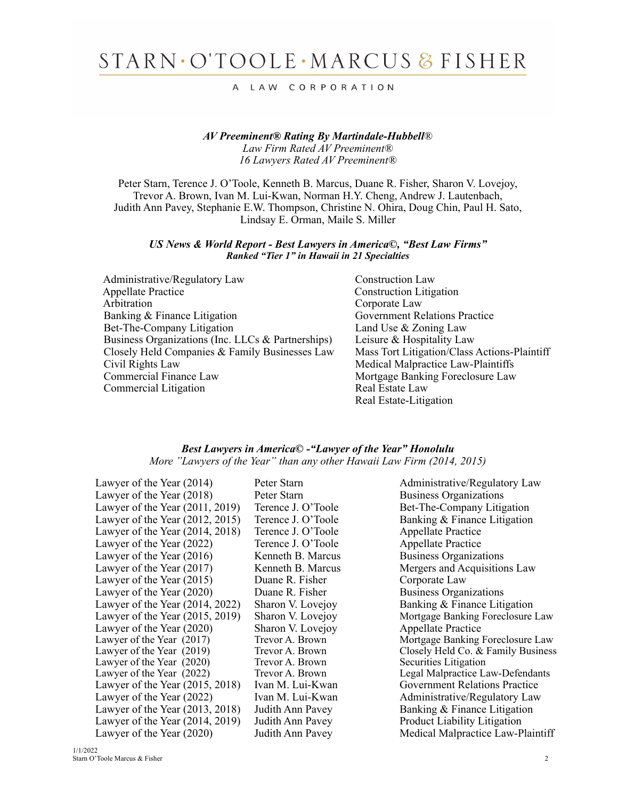A LAW CORPORATION

*AV Preeminent® Rating By Martindale-Hubbell*® *Law Firm Rated AV Preeminent® 16 Lawyers Rated AV Preeminent®*

Peter Starn, Terence J. O'Toole, Kenneth B. Marcus, Duane R. Fisher, Sharon V. Lovejoy, Trevor A. Brown, Ivan M. Lui-Kwan, Norman H.Y. Cheng, Andrew J. Lautenbach, Judith Ann Pavey, Stephanie E.W. Thompson, Christine N. Ohira, Doug Chin, Paul H. Sato, Lindsay E. Orman, Maile S. Miller

*US News & World Report - Best Lawyers in America***©***, "Best Law Firms" Ranked "Tier 1" in Hawaii in 21 Specialties*

| Administrative/Regulatory Law                     | <b>Construction Law</b>                      |
|---------------------------------------------------|----------------------------------------------|
| <b>Appellate Practice</b>                         | <b>Construction Litigation</b>               |
| Arbitration                                       | Corporate Law                                |
| Banking & Finance Litigation                      | <b>Government Relations Practice</b>         |
| Bet-The-Company Litigation                        | Land Use & Zoning Law                        |
| Business Organizations (Inc. LLCs & Partnerships) | Leisure & Hospitality Law                    |
| Closely Held Companies & Family Businesses Law    | Mass Tort Litigation/Class Actions-Plaintiff |
| Civil Rights Law                                  | Medical Malpractice Law-Plaintiffs           |
| Commercial Finance Law                            | Mortgage Banking Foreclosure Law             |
| Commercial Litigation                             | Real Estate Law                              |
|                                                   | Real Estate-Litigation                       |

## *Best Lawyers in America***©** *-"Lawyer of the Year" Honolulu*

| More "Lawyers of the Year" than any other Hawaii Law Firm (2014, 2015) |  |  |  |  |  |
|------------------------------------------------------------------------|--|--|--|--|--|
|                                                                        |  |  |  |  |  |

| Lawyer of the Year (2014)         | Peter Starn        | Administrative/Regulatory Law        |
|-----------------------------------|--------------------|--------------------------------------|
| Lawyer of the Year (2018)         | Peter Starn        | <b>Business Organizations</b>        |
| Lawyer of the Year $(2011, 2019)$ | Terence J. O'Toole | Bet-The-Company Litigation           |
| Lawyer of the Year $(2012, 2015)$ | Terence J. O'Toole | Banking & Finance Litigation         |
| Lawyer of the Year $(2014, 2018)$ | Terence J. O'Toole | <b>Appellate Practice</b>            |
| Lawyer of the Year (2022)         | Terence J. O'Toole | <b>Appellate Practice</b>            |
| Lawyer of the Year (2016)         | Kenneth B. Marcus  | <b>Business Organizations</b>        |
| Lawyer of the Year (2017)         | Kenneth B. Marcus  | Mergers and Acquisitions Law         |
| Lawyer of the Year (2015)         | Duane R. Fisher    | Corporate Law                        |
| Lawyer of the Year (2020)         | Duane R. Fisher    | <b>Business Organizations</b>        |
| Lawyer of the Year $(2014, 2022)$ | Sharon V. Lovejoy  | Banking & Finance Litigation         |
| Lawyer of the Year $(2015, 2019)$ | Sharon V. Lovejoy  | Mortgage Banking Foreclosure Law     |
| Lawyer of the Year (2020)         | Sharon V. Lovejoy  | <b>Appellate Practice</b>            |
| Lawyer of the Year (2017)         | Trevor A. Brown    | Mortgage Banking Foreclosure Law     |
| Lawyer of the Year (2019)         | Trevor A. Brown    | Closely Held Co. & Family Business   |
| Lawyer of the Year (2020)         | Trevor A. Brown    | Securities Litigation                |
| Lawyer of the Year (2022)         | Trevor A. Brown    | Legal Malpractice Law-Defendants     |
| Lawyer of the Year $(2015, 2018)$ | Ivan M. Lui-Kwan   | <b>Government Relations Practice</b> |
| Lawyer of the Year (2022)         | Ivan M. Lui-Kwan   | Administrative/Regulatory Law        |
| Lawyer of the Year $(2013, 2018)$ | Judith Ann Pavey   | Banking & Finance Litigation         |
| Lawyer of the Year $(2014, 2019)$ | Judith Ann Pavey   | <b>Product Liability Litigation</b>  |
| Lawyer of the Year (2020)         | Judith Ann Pavey   | Medical Malpractice Law-Plaintiff    |
|                                   |                    |                                      |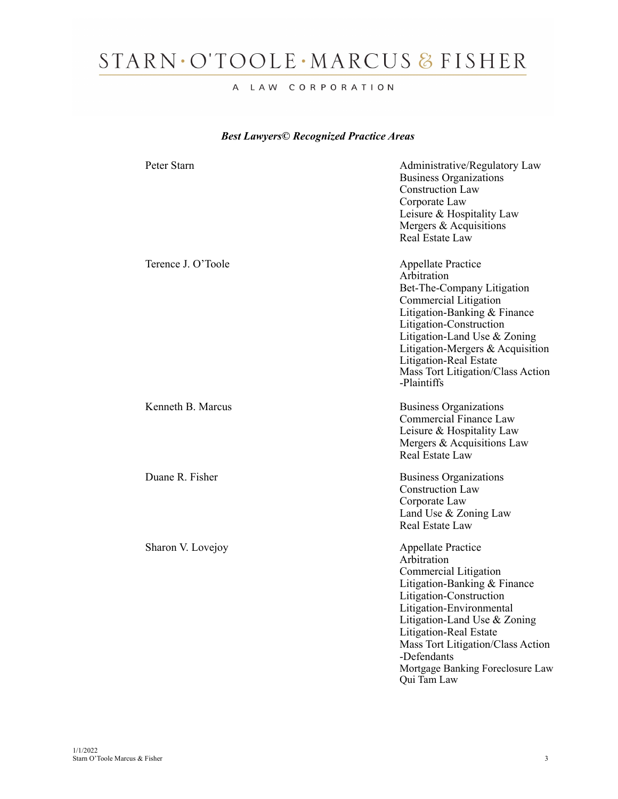### A LAW CORPORATION

### *Best Lawyers***©** *Recognized Practice Areas*

| Peter Starn        | Administrative/Regulatory Law<br><b>Business Organizations</b><br><b>Construction Law</b><br>Corporate Law<br>Leisure & Hospitality Law<br>Mergers $&$ Acquisitions<br>Real Estate Law                                                                                                                                    |
|--------------------|---------------------------------------------------------------------------------------------------------------------------------------------------------------------------------------------------------------------------------------------------------------------------------------------------------------------------|
| Terence J. O'Toole | <b>Appellate Practice</b><br>Arbitration<br>Bet-The-Company Litigation<br>Commercial Litigation<br>Litigation-Banking & Finance<br>Litigation-Construction<br>Litigation-Land Use $& Zoning$<br>Litigation-Mergers & Acquisition<br>Litigation-Real Estate<br>Mass Tort Litigation/Class Action<br>-Plaintiffs            |
| Kenneth B. Marcus  | <b>Business Organizations</b><br>Commercial Finance Law<br>Leisure & Hospitality Law<br>Mergers & Acquisitions Law<br>Real Estate Law                                                                                                                                                                                     |
| Duane R. Fisher    | <b>Business Organizations</b><br><b>Construction Law</b><br>Corporate Law<br>Land Use & Zoning Law<br>Real Estate Law                                                                                                                                                                                                     |
| Sharon V. Lovejoy  | <b>Appellate Practice</b><br>Arbitration<br>Commercial Litigation<br>Litigation-Banking & Finance<br>Litigation-Construction<br>Litigation-Environmental<br>Litigation-Land Use & Zoning<br>Litigation-Real Estate<br>Mass Tort Litigation/Class Action<br>-Defendants<br>Mortgage Banking Foreclosure Law<br>Qui Tam Law |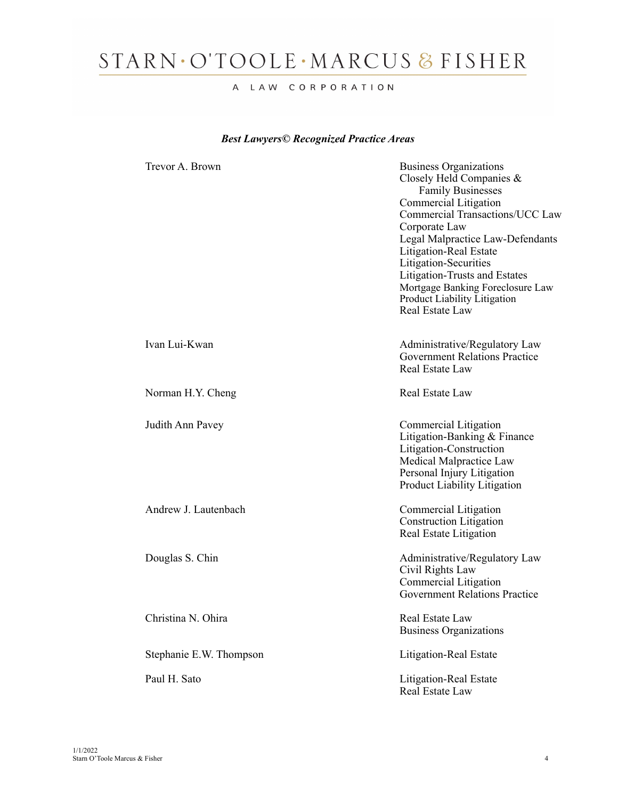### A LAW CORPORATION

## *Best Lawyers© Recognized Practice Areas*

| Trevor A. Brown         | <b>Business Organizations</b><br>Closely Held Companies &<br><b>Family Businesses</b><br>Commercial Litigation<br>Commercial Transactions/UCC Law<br>Corporate Law<br>Legal Malpractice Law-Defendants<br>Litigation-Real Estate<br>Litigation-Securities<br>Litigation-Trusts and Estates<br>Mortgage Banking Foreclosure Law<br><b>Product Liability Litigation</b><br>Real Estate Law |
|-------------------------|------------------------------------------------------------------------------------------------------------------------------------------------------------------------------------------------------------------------------------------------------------------------------------------------------------------------------------------------------------------------------------------|
| Ivan Lui-Kwan           | Administrative/Regulatory Law<br><b>Government Relations Practice</b><br>Real Estate Law                                                                                                                                                                                                                                                                                                 |
| Norman H.Y. Cheng       | Real Estate Law                                                                                                                                                                                                                                                                                                                                                                          |
| Judith Ann Pavey        | Commercial Litigation<br>Litigation-Banking & Finance<br>Litigation-Construction<br>Medical Malpractice Law<br>Personal Injury Litigation<br><b>Product Liability Litigation</b>                                                                                                                                                                                                         |
| Andrew J. Lautenbach    | Commercial Litigation<br><b>Construction Litigation</b><br>Real Estate Litigation                                                                                                                                                                                                                                                                                                        |
| Douglas S. Chin         | Administrative/Regulatory Law<br>Civil Rights Law<br><b>Commercial Litigation</b><br><b>Government Relations Practice</b>                                                                                                                                                                                                                                                                |
| Christina N. Ohira      | Real Estate Law<br><b>Business Organizations</b>                                                                                                                                                                                                                                                                                                                                         |
| Stephanie E.W. Thompson | Litigation-Real Estate                                                                                                                                                                                                                                                                                                                                                                   |
| Paul H. Sato            | Litigation-Real Estate<br>Real Estate Law                                                                                                                                                                                                                                                                                                                                                |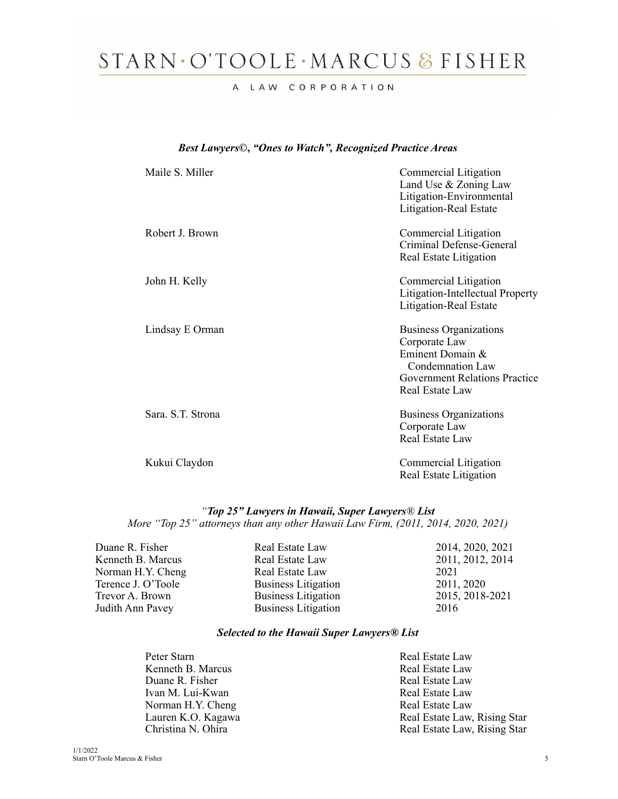## A LAW CORPORATION

### *Best Lawyers***©,** *"Ones to Watch", Recognized Practice Areas*

| Maile S. Miller   | Commercial Litigation<br>Land Use & Zoning Law<br>Litigation-Environmental<br>Litigation-Real Estate                                                     |
|-------------------|----------------------------------------------------------------------------------------------------------------------------------------------------------|
| Robert J. Brown   | Commercial Litigation<br>Criminal Defense-General<br>Real Estate Litigation                                                                              |
| John H. Kelly     | Commercial Litigation<br>Litigation-Intellectual Property<br>Litigation-Real Estate                                                                      |
| Lindsay E Orman   | <b>Business Organizations</b><br>Corporate Law<br>Eminent Domain &<br><b>Condemnation Law</b><br><b>Government Relations Practice</b><br>Real Estate Law |
| Sara. S.T. Strona | <b>Business Organizations</b><br>Corporate Law<br>Real Estate Law                                                                                        |
| Kukui Claydon     | Commercial Litigation<br>Real Estate Litigation                                                                                                          |

## *"Top 25" Lawyers in Hawaii, Super Lawyers® List*

*More "Top 25" attorneys than any other Hawaii Law Firm, (2011, 2014, 2020, 2021)*

| Duane R. Fisher    | Real Estate Law            | 2014, 2020, 2021 |
|--------------------|----------------------------|------------------|
| Kenneth B. Marcus  | Real Estate Law            | 2011, 2012, 2014 |
| Norman H.Y. Cheng  | Real Estate Law            | 2021             |
| Terence J. O'Toole | <b>Business Litigation</b> | 2011, 2020       |
| Trevor A. Brown    | <b>Business Litigation</b> | 2015, 2018-2021  |
| Judith Ann Pavey   | <b>Business Litigation</b> | 2016             |

### *Selected to the Hawaii Super Lawyers® List*

| Peter Starn        |
|--------------------|
| Kenneth B. Marcus  |
| Duane R. Fisher    |
| Ivan M. Lui-Kwan   |
| Norman H.Y. Cheng  |
| Lauren K.O. Kagawa |
| Christina N. Ohira |

Real Estate Law Real Estate Law Real Estate Law Real Estate Law Real Estate Law Real Estate Law, Rising Star Real Estate Law, Rising Star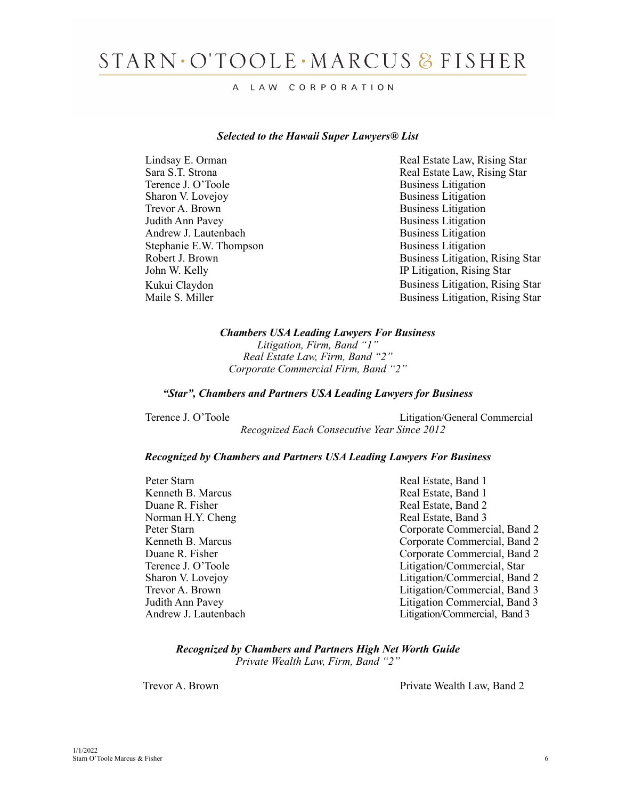#### A LAW CORPORATION

#### *Selected to the Hawaii Super Lawyers® List*

Terence J. O'Toole Business Litigation Sharon V. Lovejoy Business Litigation Trevor A. Brown Business Litigation Judith Ann Pavey Business Litigation Andrew J. Lautenbach Business Litigation Stephanie E.W. Thompson Business Litigation John W. Kelly **IP Litigation**, Rising Star

Lindsay E. Orman Real Estate Law, Rising Star Sara S.T. Strona Real Estate Law, Rising Star Robert J. Brown Business Litigation, Rising Star Kukui Claydon Business Litigation, Rising Star Maile S. Miller **Business Litigation, Rising Star** Business Litigation, Rising Star

#### *Chambers USA Leading Lawyers For Business*

*Litigation, Firm, Band "1" Real Estate Law, Firm, Band "2" Corporate Commercial Firm, Band "2"*

#### *"Star", Chambers and Partners USA Leading Lawyers for Business*

Terence J. O'Toole Litigation/General Commercial *Recognized Each Consecutive Year Since 2012*

#### *Recognized by Chambers and Partners USA Leading Lawyers For Business*

Peter Starn Real Estate, Band 1 Kenneth B. Marcus Real Estate, Band 1 Duane R. Fisher Real Estate, Band 2 Norman H.Y. Cheng Real Estate, Band 3

Peter Starn Corporate Commercial, Band 2<br>
Kenneth B. Marcus Corporate Commercial. Band 2 Corporate Commercial, Band 2 Duane R. Fisher Corporate Commercial, Band 2 Terence J. O'Toole Litigation/Commercial, Star Sharon V. Lovejoy **Litigation** Commercial, Band 2 Trevor A. Brown Litigation/Commercial, Band 3 Judith Ann Pavey Litigation Commercial, Band 3 Andrew J. Lautenbach Litigation/Commercial, Band 3

#### *Recognized by Chambers and Partners High Net Worth Guide Private Wealth Law, Firm, Band "2"*

**Trevor A. Brown Private Wealth Law, Band 2**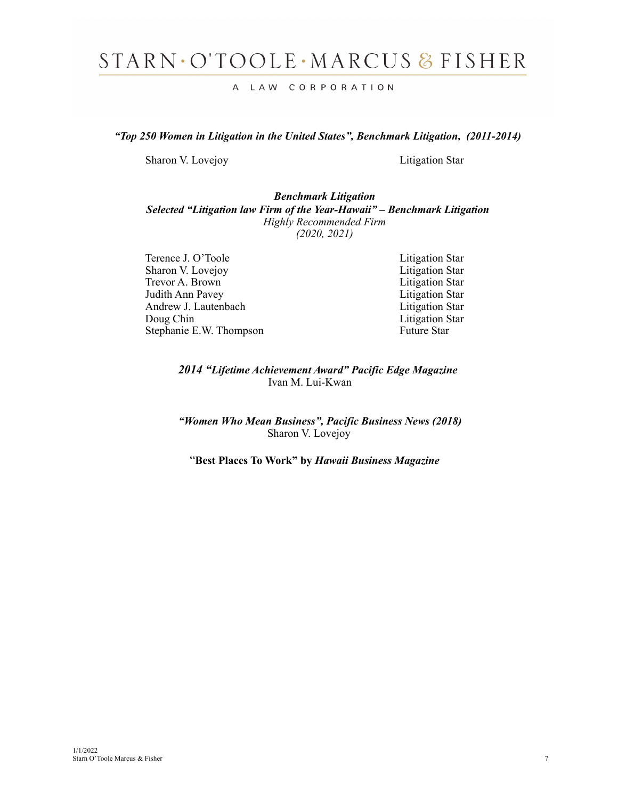A LAW CORPORATION

#### *"Top 250 Women in Litigation in the United States", Benchmark Litigation, (2011-2014)*

Sharon V. Lovejoy **Litigation Star** 

*Benchmark Litigation Selected "Litigation law Firm of the Year-Hawaii" – Benchmark Litigation Highly Recommended Firm (2020, 2021)*

Terence J. O'Toole Litigation Star Sharon V. Lovejoy Litigation Star Trevor A. Brown Litigation Star Judith Ann Pavey Litigation Star Andrew J. Lautenbach Litigation Star Doug Chin Litigation Star Stephanie E.W. Thompson Future Star

*2014 "Lifetime Achievement Award" Pacific Edge Magazine* Ivan M. Lui-Kwan

 *"Women Who Mean Business", Pacific Business News (2018)* **Sharon V. Lovejoy** 

"**Best Places To Work" by** *Hawaii Business Magazine*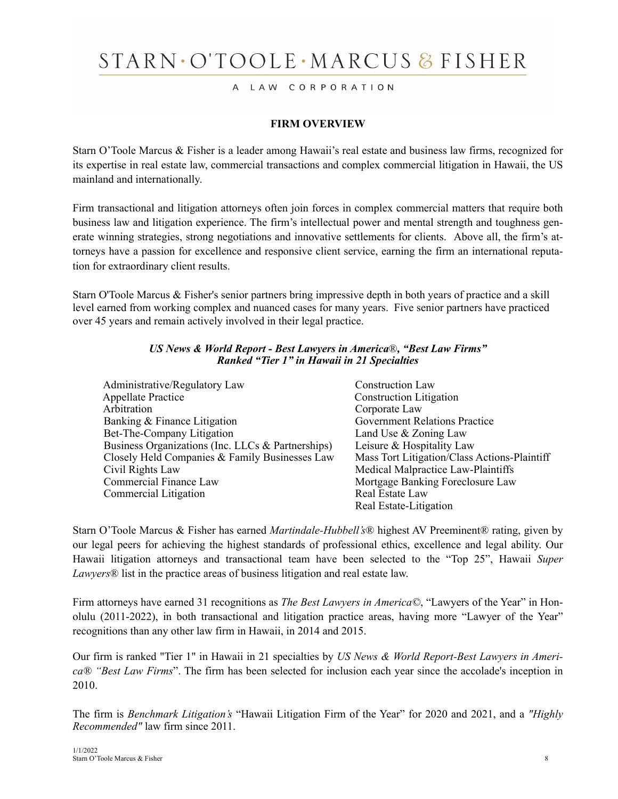A LAW CORPORATION

## **FIRM OVERVIEW**

Starn O'Toole Marcus & Fisher is a leader among Hawaii's real estate and business law firms, recognized for its expertise in real estate law, commercial transactions and complex commercial litigation in Hawaii, the US mainland and internationally.

Firm transactional and litigation attorneys often join forces in complex commercial matters that require both business law and litigation experience. The firm's intellectual power and mental strength and toughness generate winning strategies, strong negotiations and innovative settlements for clients. Above all, the firm's attorneys have a passion for excellence and responsive client service, earning the firm an international reputation for extraordinary client results.

Starn O'Toole Marcus & Fisher's senior partners bring impressive depth in both years of practice and a skill level earned from working complex and nuanced cases for many years. Five senior partners have practiced over 45 years and remain actively involved in their legal practice.

## *US News & World Report - Best Lawyers in America*®*, "Best Law Firms" Ranked "Tier 1" in Hawaii in 21 Specialties*

| Administrative/Regulatory Law                     | <b>Construction Law</b>                      |
|---------------------------------------------------|----------------------------------------------|
| <b>Appellate Practice</b>                         | <b>Construction Litigation</b>               |
| Arbitration                                       | Corporate Law                                |
| Banking & Finance Litigation                      | <b>Government Relations Practice</b>         |
| Bet-The-Company Litigation                        | Land Use & Zoning Law                        |
| Business Organizations (Inc. LLCs & Partnerships) | Leisure & Hospitality Law                    |
| Closely Held Companies & Family Businesses Law    | Mass Tort Litigation/Class Actions-Plaintiff |
| Civil Rights Law                                  | Medical Malpractice Law-Plaintiffs           |
| Commercial Finance Law                            | Mortgage Banking Foreclosure Law             |
| Commercial Litigation                             | Real Estate Law                              |
|                                                   | Real Estate-Litigation                       |

Starn O'Toole Marcus & Fisher has earned *Martindale-Hubbell's*® highest AV Preeminent® rating, given by our legal peers for achieving the highest standards of professional ethics, excellence and legal ability. Our Hawaii litigation attorneys and transactional team have been selected to the "Top 25", Hawaii *Super Lawyers*® list in the practice areas of business litigation and real estate law.

Firm attorneys have earned 31 recognitions as *The Best Lawyers in America©*, "Lawyers of the Year" in Honolulu (2011-2022), in both transactional and litigation practice areas, having more "Lawyer of the Year" recognitions than any other law firm in Hawaii, in 2014 and 2015.

Our firm is ranked "Tier 1" in Hawaii in 21 specialties by *US News & World Report-Best Lawyers in America® "Best Law Firms*". The firm has been selected for inclusion each year since the accolade's inception in 2010.

The firm is *Benchmark Litigation's* "Hawaii Litigation Firm of the Year" for 2020 and 2021, and a *"Highly Recommended"* law firm since 2011.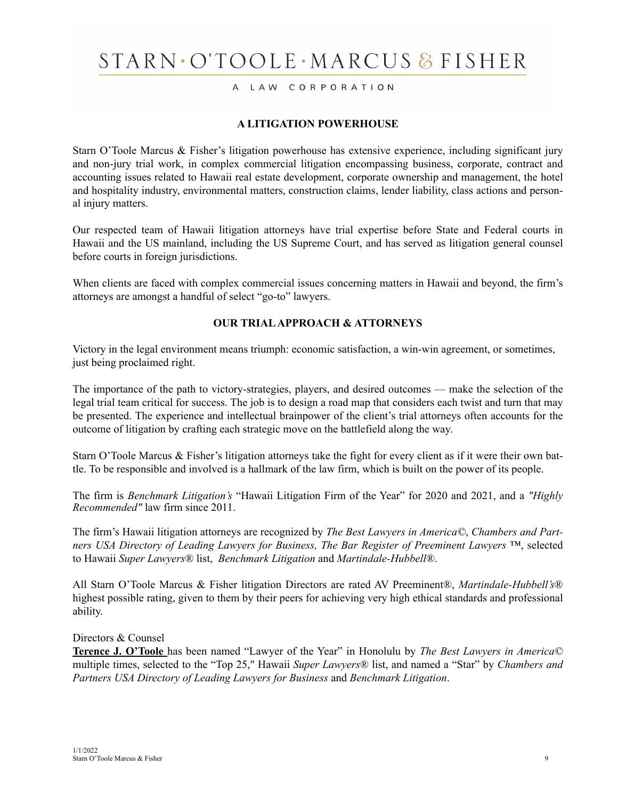### A LAW CORPORATION

## **A LITIGATION POWERHOUSE**

Starn O'Toole Marcus & Fisher's litigation powerhouse has extensive experience, including significant jury and non-jury trial work, in complex commercial litigation encompassing business, corporate, contract and accounting issues related to Hawaii real estate development, corporate ownership and management, the hotel and hospitality industry, environmental matters, construction claims, lender liability, class actions and personal injury matters.

Our respected team of Hawaii litigation attorneys have trial expertise before State and Federal courts in Hawaii and the US mainland, including the US Supreme Court, and has served as litigation general counsel before courts in foreign jurisdictions.

When clients are faced with complex commercial issues concerning matters in Hawaii and beyond, the firm's attorneys are amongst a handful of select "go-to" lawyers.

### **OUR TRIAL APPROACH & ATTORNEYS**

Victory in the legal environment means triumph: economic satisfaction, a win-win agreement, or sometimes, just being proclaimed right.

The importance of the path to victory-strategies, players, and desired outcomes — make the selection of the legal trial team critical for success. The job is to design a road map that considers each twist and turn that may be presented. The experience and intellectual brainpower of the client's trial attorneys often accounts for the outcome of litigation by crafting each strategic move on the battlefield along the way.

Starn O'Toole Marcus & Fisher's litigation attorneys take the fight for every client as if it were their own battle. To be responsible and involved is a hallmark of the law firm, which is built on the power of its people.

The firm is *Benchmark Litigation's* "Hawaii Litigation Firm of the Year" for 2020 and 2021, and a *"Highly Recommended"* law firm since 2011.

The firm's Hawaii litigation attorneys are recognized by *The Best Lawyers in America©*, *Chambers and Partners USA Directory of Leading Lawyers for Business, The Bar Register of Preeminent Lawyers* ™, selected to Hawaii *Super Lawyers*® list, *Benchmark Litigation* and *Martindale-Hubbell*®.

All Starn O'Toole Marcus & Fisher litigation Directors are rated AV Preeminent®, *Martindale-Hubbell's*® highest possible rating, given to them by their peers for achieving very high ethical standards and professional ability.

Directors & Counsel

**[Terence J. O'Toole](https://www.starnlaw.com/attorneys/terence-j-o-toole/)** has been named "Lawyer of the Year" in Honolulu by *The Best Lawyers in America©*  multiple times, selected to the "Top 25," Hawaii *Super Lawyers*® list, and named a "Star" by *Chambers and Partners USA Directory of Leading Lawyers for Business* and *Benchmark Litigation*.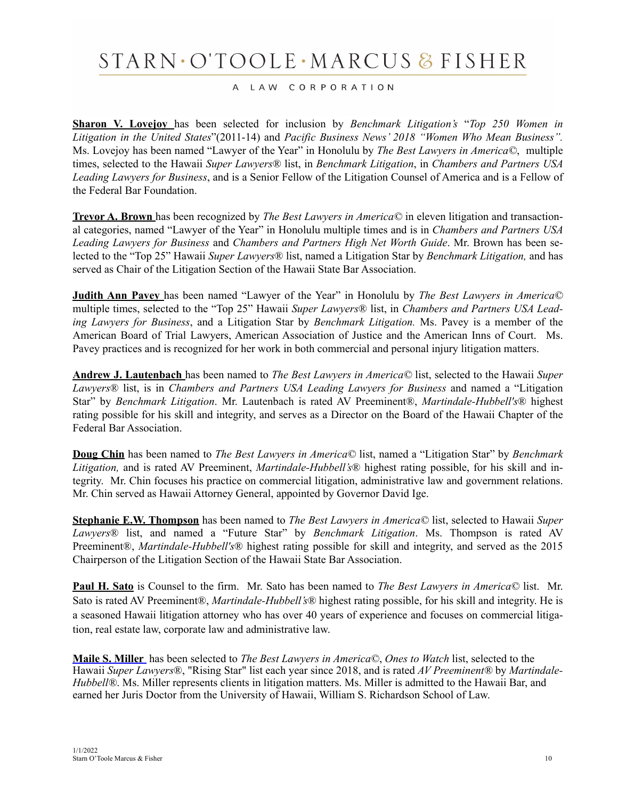A LAW CORPORATION

**[Sharon V. Lovejoy](https://www.starnlaw.com/attorneys/sharon-v-lovejoy/)** has been selected for inclusion by *Benchmark Litigation's* "*Top 250 Women in Litigation in the United States*"(2011-14) and *Pacific Business News' 2018 "Women Who Mean Business".* Ms. Lovejoy has been named "Lawyer of the Year" in Honolulu by *The Best Lawyers in America©*, multiple times, selected to the Hawaii *Super Lawyers*® list, in *Benchmark Litigation*, in *Chambers and Partners USA Leading Lawyers for Business*, and is a Senior Fellow of the Litigation Counsel of America and is a Fellow of the Federal Bar Foundation.

**[Trevor A. Brown](https://www.starnlaw.com/attorneys/trevor-a-brown/)** has been recognized by *The Best Lawyers in America©* in eleven litigation and transactional categories, named "Lawyer of the Year" in Honolulu multiple times and is in *Chambers and Partners USA Leading Lawyers for Business* and *Chambers and Partners High Net Worth Guide*. Mr. Brown has been selected to the "Top 25" Hawaii *Super Lawyers*® list, named a Litigation Star by *Benchmark Litigation,* and has served as Chair of the Litigation Section of the Hawaii State Bar Association.

**[Judith Ann Pavey](https://www.starnlaw.com/attorneys/judith-ann-pavey/)** has been named "Lawyer of the Year" in Honolulu by *The Best Lawyers in America©*  multiple times, selected to the "Top 25" Hawaii *Super Lawyers*® list, in *Chambers and Partners USA Leading Lawyers for Business*, and a Litigation Star by *Benchmark Litigation.* Ms. Pavey is a member of the American Board of Trial Lawyers, American Association of Justice and the American Inns of Court. Ms. Pavey practices and is recognized for her work in both commercial and personal injury litigation matters.

**[Andrew J. Lautenbach](mailto:https://www.starnlaw.com/attorneys/andrew-j-lautenbach/)** has been named to *The Best Lawyers in America©* list, selected to the Hawaii *Super Lawyers*® list, is in *Chambers and Partners USA Leading Lawyers for Business* and named a "Litigation Star" by *Benchmark Litigation*. Mr. Lautenbach is rated AV Preeminent®, *Martindale-Hubbell's*® highest rating possible for his skill and integrity, and serves as a Director on the Board of the Hawaii Chapter of the Federal Bar Association.

**[Doug Chin](https://www.starnlaw.com/attorneys/doug-chin/)** has been named to *The Best Lawyers in America©* list, named a "Litigation Star" by *Benchmark Litigation,* and is rated AV Preeminent, *Martindale-Hubbell's*® highest rating possible, for his skill and integrity. Mr. Chin focuses his practice on commercial litigation, administrative law and government relations. Mr. Chin served as Hawaii Attorney General, appointed by Governor David Ige.

**[Stephanie E.W. Thompson](https://www.starnlaw.com/attorneys/stephanie-e-w-thompson/)** has been named to *The Best Lawyers in America©* list, selected to Hawaii *Super Lawyers*® list, and named a "Future Star" by *Benchmark Litigation*. Ms. Thompson is rated AV Preeminent®, *Martindale-Hubbell's*® highest rating possible for skill and integrity, and served as the 2015 Chairperson of the Litigation Section of the Hawaii State Bar Association.

**[Paul H. Sato](https://www.starnlaw.com/attorneys/paul-h-sato/)** is Counsel to the firm. Mr. Sato has been named to *The Best Lawyers in America©* list. Mr. Sato is rated AV Preeminent®, *Martindale-Hubbell's*® highest rating possible, for his skill and integrity. He is a seasoned Hawaii litigation attorney who has over 40 years of experience and focuses on commercial litigation, real estate law, corporate law and administrative law.

**[Maile S. Miller](http://www.starnlaw.com/attorneys/maile-s-miller/)** has been selected to *The Best Lawyers in America©*, *Ones to Watch* list, selected to the Hawaii *Super Lawyers*®, "Rising Star" list each year since 2018, and is rated *AV Preeminent®* by *Martindale-Hubbell®*. Ms. Miller represents clients in litigation matters. Ms. Miller is admitted to the Hawaii Bar, and earned her Juris Doctor from the University of Hawaii, William S. Richardson School of Law.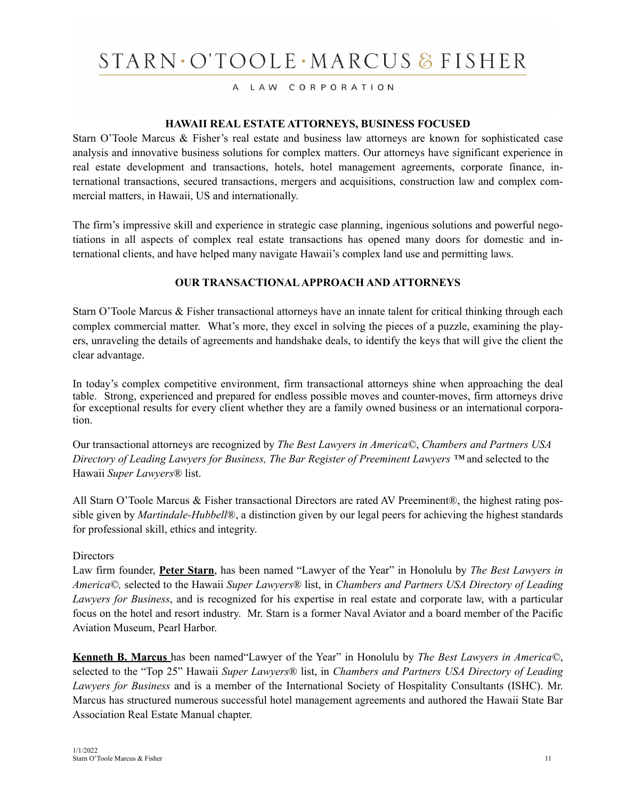## A LAW CORPORATION

### **HAWAII REAL ESTATE ATTORNEYS, BUSINESS FOCUSED**

Starn O'Toole Marcus & Fisher's real estate and business law attorneys are known for sophisticated case analysis and innovative business solutions for complex matters. Our attorneys have significant experience in real estate development and transactions, hotels, hotel management agreements, corporate finance, international transactions, secured transactions, mergers and acquisitions, construction law and complex commercial matters, in Hawaii, US and internationally.

The firm's impressive skill and experience in strategic case planning, ingenious solutions and powerful negotiations in all aspects of complex real estate transactions has opened many doors for domestic and international clients, and have helped many navigate Hawaii's complex land use and permitting laws.

### **OUR TRANSACTIONAL APPROACH AND ATTORNEYS**

Starn O'Toole Marcus & Fisher transactional attorneys have an innate talent for critical thinking through each complex commercial matter. What's more, they excel in solving the pieces of a puzzle, examining the players, unraveling the details of agreements and handshake deals, to identify the keys that will give the client the clear advantage.

In today's complex competitive environment, firm transactional attorneys shine when approaching the deal table. Strong, experienced and prepared for endless possible moves and counter-moves, firm attorneys drive for exceptional results for every client whether they are a family owned business or an international corporation.

Our transactional attorneys are recognized by *The Best Lawyers in America©*, *Chambers and Partners USA Directory of Leading Lawyers for Business, The Bar Register of Preeminent Lawyers ™* and selected to the Hawaii *Super Lawyers*® list.

All Starn O'Toole Marcus & Fisher transactional Directors are rated AV Preeminent®, the highest rating possible given by *Martindale-Hubbell*®, a distinction given by our legal peers for achieving the highest standards for professional skill, ethics and integrity.

#### **Directors**

Law firm founder, **[Peter Starn](https://www.starnlaw.com/attorneys/peter-starn/)**, has been named "Lawyer of the Year" in Honolulu by *The Best Lawyers in America©,* selected to the Hawaii *Super Lawyers*® list, in *Chambers and Partners USA Directory of Leading Lawyers for Business*, and is recognized for his expertise in real estate and corporate law, with a particular focus on the hotel and resort industry. Mr. Starn is a former Naval Aviator and a board member of the Pacific Aviation Museum, Pearl Harbor.

**[Kenneth B. Marcus](https://www.starnlaw.com/attorneys/kenneth-b-marcus/)** has been named"Lawyer of the Year" in Honolulu by *The Best Lawyers in America©*, selected to the "Top 25" Hawaii *Super Lawyers*® list, in *Chambers and Partners USA Directory of Leading Lawyers for Business* and is a member of the International Society of Hospitality Consultants (ISHC). Mr. Marcus has structured numerous successful hotel management agreements and authored the Hawaii State Bar Association Real Estate Manual chapter.